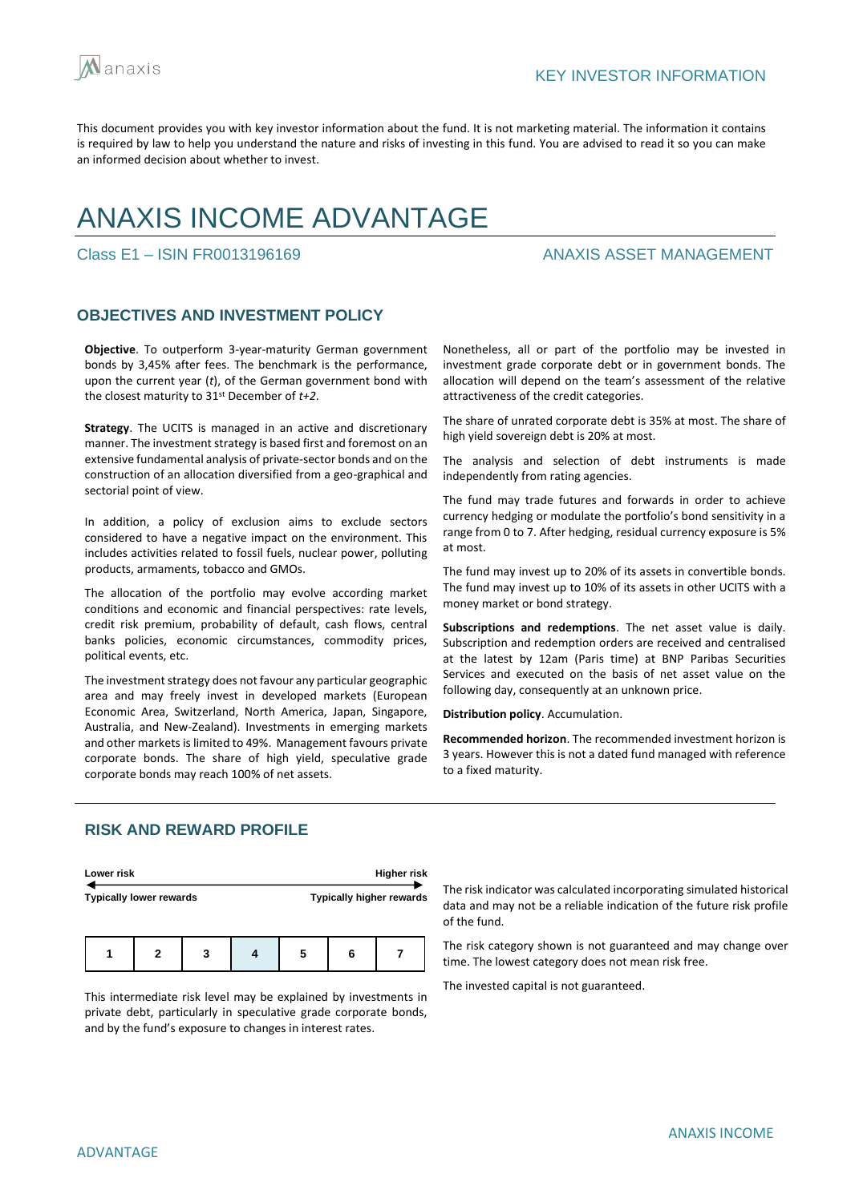

# ANAXIS INCOME ADVANTAGE

Class E1 – ISIN FR0013196169 ANAXIS ASSET MANAGEMENT

## **OBJECTIVES AND INVESTMENT POLICY**

**Objective**. To outperform 3-year-maturity German government bonds by 3,45% after fees. The benchmark is the performance, upon the current year (*t*), of the German government bond with the closest maturity to 31st December of *t+2*.

**Strategy**. The UCITS is managed in an active and discretionary manner. The investment strategy is based first and foremost on an extensive fundamental analysis of private-sector bonds and on the construction of an allocation diversified from a geo-graphical and sectorial point of view.

In addition, a policy of exclusion aims to exclude sectors considered to have a negative impact on the environment. This includes activities related to fossil fuels, nuclear power, polluting products, armaments, tobacco and GMOs.

The allocation of the portfolio may evolve according market conditions and economic and financial perspectives: rate levels, credit risk premium, probability of default, cash flows, central banks policies, economic circumstances, commodity prices, political events, etc.

The investment strategy does not favour any particular geographic area and may freely invest in developed markets (European Economic Area, Switzerland, North America, Japan, Singapore, Australia, and New-Zealand). Investments in emerging markets and other markets is limited to 49%. Management favours private corporate bonds. The share of high yield, speculative grade corporate bonds may reach 100% of net assets.

Nonetheless, all or part of the portfolio may be invested in investment grade corporate debt or in government bonds. The allocation will depend on the team's assessment of the relative attractiveness of the credit categories.

The share of unrated corporate debt is 35% at most. The share of high yield sovereign debt is 20% at most.

The analysis and selection of debt instruments is made independently from rating agencies.

The fund may trade futures and forwards in order to achieve currency hedging or modulate the portfolio's bond sensitivity in a range from 0 to 7. After hedging, residual currency exposure is 5% at most.

The fund may invest up to 20% of its assets in convertible bonds. The fund may invest up to 10% of its assets in other UCITS with a money market or bond strategy.

**Subscriptions and redemptions**. The net asset value is daily. Subscription and redemption orders are received and centralised at the latest by 12am (Paris time) at BNP Paribas Securities Services and executed on the basis of net asset value on the following day, consequently at an unknown price.

**Distribution policy**. Accumulation.

**Recommended horizon**. The recommended investment horizon is 3 years. However this is not a dated fund managed with reference to a fixed maturity.

## **RISK AND REWARD PROFILE**

| Lower risk                     | <b>Higher risk</b>              |
|--------------------------------|---------------------------------|
| <b>Typically lower rewards</b> | <b>Typically higher rewards</b> |
|                                |                                 |
|                                |                                 |

**1 2 3 4 5 6 7**

This intermediate risk level may be explained by investments in private debt, particularly in speculative grade corporate bonds, and by the fund's exposure to changes in interest rates.

The risk indicator was calculated incorporating simulated historical data and may not be a reliable indication of the future risk profile of the fund.

The risk category shown is not guaranteed and may change over time. The lowest category does not mean risk free.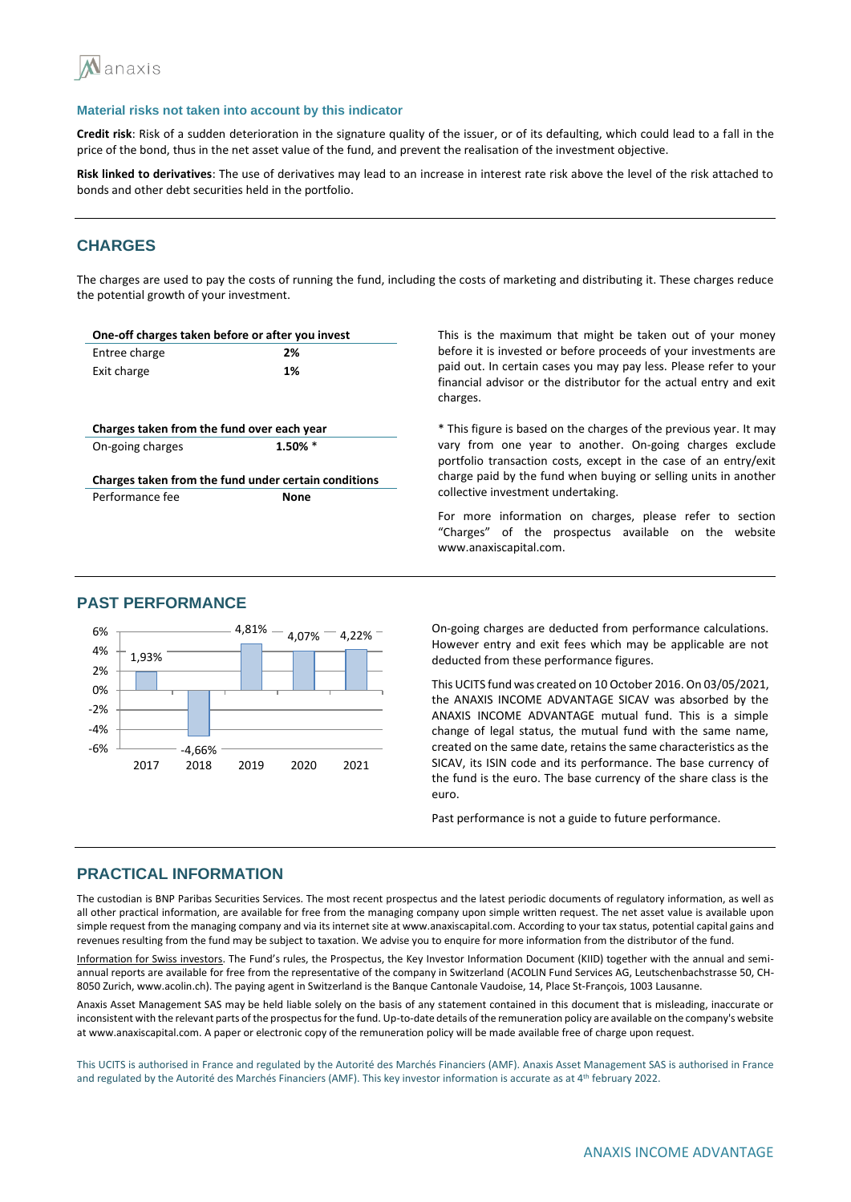

**Credit risk**: Risk of a sudden deterioration in the signature quality of the issuer, or of its defaulting, which could lead to a fall in the price of the bond, thus in the net asset value of the fund, and prevent the realisation of the investment objective.

**Risk linked to derivatives**: The use of derivatives may lead to an increase in interest rate risk above the level of the risk attached to bonds and other debt securities held in the portfolio.

## **CHARGES**

The charges are used to pay the costs of running the fund, including the costs of marketing and distributing it. These charges reduce the potential growth of your investment.

| One-off charges taken before or after you invest     |            |
|------------------------------------------------------|------------|
| Entree charge                                        | 2%         |
| Exit charge                                          | 1%         |
|                                                      |            |
|                                                      |            |
| Charges taken from the fund over each year           |            |
| On-going charges                                     | $1.50\%$ * |
|                                                      |            |
|                                                      |            |
| Charges taken from the fund under certain conditions |            |
| Performance fee                                      | None       |

This is the maximum that might be taken out of your money before it is invested or before proceeds of your investments are paid out. In certain cases you may pay less. Please refer to your financial advisor or the distributor for the actual entry and exit charges.

\* This figure is based on the charges of the previous year. It may vary from one year to another. On-going charges exclude portfolio transaction costs, except in the case of an entry/exit charge paid by the fund when buying or selling units in another collective investment undertaking.

For more information on charges, please refer to section "Charges" of the prospectus available on the website www.anaxiscapital.com.

## **PAST PERFORMANCE**



On-going charges are deducted from performance calculations. However entry and exit fees which may be applicable are not deducted from these performance figures.

This UCITS fund was created on 10 October 2016. On 03/05/2021, the ANAXIS INCOME ADVANTAGE SICAV was absorbed by the ANAXIS INCOME ADVANTAGE mutual fund. This is a simple change of legal status, the mutual fund with the same name, created on the same date, retains the same characteristics as the SICAV, its ISIN code and its performance. The base currency of the fund is the euro. The base currency of the share class is the euro.

Past performance is not a guide to future performance.

## **PRACTICAL INFORMATION**

The custodian is BNP Paribas Securities Services. The most recent prospectus and the latest periodic documents of regulatory information, as well as all other practical information, are available for free from the managing company upon simple written request. The net asset value is available upon simple request from the managing company and via its internet site at www.anaxiscapital.com. According to your tax status, potential capital gains and revenues resulting from the fund may be subject to taxation. We advise you to enquire for more information from the distributor of the fund.

Information for Swiss investors. The Fund's rules, the Prospectus, the Key Investor Information Document (KIID) together with the annual and semiannual reports are available for free from the representative of the company in Switzerland (ACOLIN Fund Services AG, Leutschenbachstrasse 50, CH-8050 Zurich, www.acolin.ch). The paying agent in Switzerland is the Banque Cantonale Vaudoise, 14, Place St-François, 1003 Lausanne.

Anaxis Asset Management SAS may be held liable solely on the basis of any statement contained in this document that is misleading, inaccurate or inconsistent with the relevant parts of the prospectus for the fund. Up-to-date details of the remuneration policy are available on the company's website at www.anaxiscapital.com. A paper or electronic copy of the remuneration policy will be made available free of charge upon request.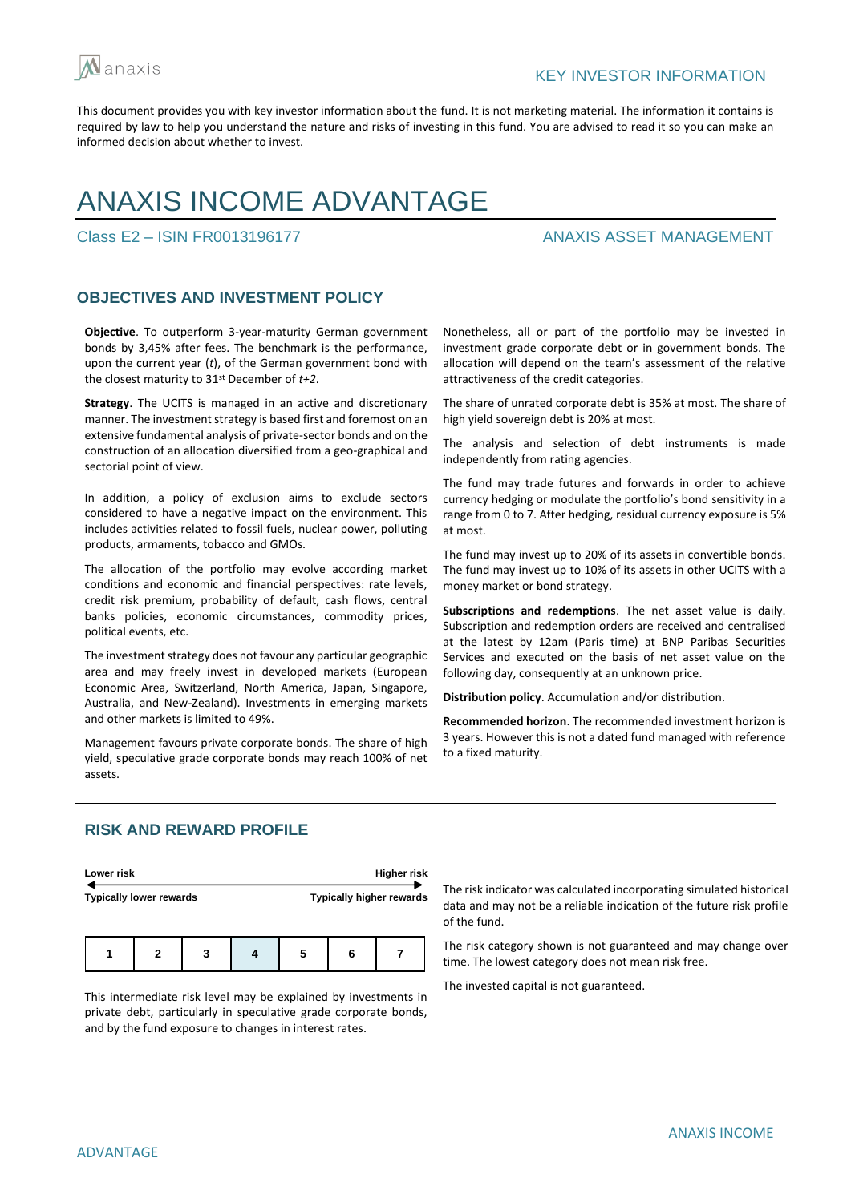

# ANAXIS INCOME ADVANTAGE

## Class E2 – ISIN FR0013196177 ANAXIS ASSET MANAGEMENT

## **OBJECTIVES AND INVESTMENT POLICY**

**Objective**. To outperform 3-year-maturity German government bonds by 3,45% after fees. The benchmark is the performance, upon the current year (*t*), of the German government bond with the closest maturity to 31st December of *t+2*.

**Strategy**. The UCITS is managed in an active and discretionary manner. The investment strategy is based first and foremost on an extensive fundamental analysis of private-sector bonds and on the construction of an allocation diversified from a geo-graphical and sectorial point of view.

In addition, a policy of exclusion aims to exclude sectors considered to have a negative impact on the environment. This includes activities related to fossil fuels, nuclear power, polluting products, armaments, tobacco and GMOs.

The allocation of the portfolio may evolve according market conditions and economic and financial perspectives: rate levels, credit risk premium, probability of default, cash flows, central banks policies, economic circumstances, commodity prices, political events, etc.

The investment strategy does not favour any particular geographic area and may freely invest in developed markets (European Economic Area, Switzerland, North America, Japan, Singapore, Australia, and New-Zealand). Investments in emerging markets and other markets is limited to 49%.

Management favours private corporate bonds. The share of high yield, speculative grade corporate bonds may reach 100% of net assets.

Nonetheless, all or part of the portfolio may be invested in investment grade corporate debt or in government bonds. The allocation will depend on the team's assessment of the relative attractiveness of the credit categories.

The share of unrated corporate debt is 35% at most. The share of high yield sovereign debt is 20% at most.

The analysis and selection of debt instruments is made independently from rating agencies.

The fund may trade futures and forwards in order to achieve currency hedging or modulate the portfolio's bond sensitivity in a range from 0 to 7. After hedging, residual currency exposure is 5% at most.

The fund may invest up to 20% of its assets in convertible bonds. The fund may invest up to 10% of its assets in other UCITS with a money market or bond strategy.

**Subscriptions and redemptions**. The net asset value is daily. Subscription and redemption orders are received and centralised at the latest by 12am (Paris time) at BNP Paribas Securities Services and executed on the basis of net asset value on the following day, consequently at an unknown price.

**Distribution policy**. Accumulation and/or distribution.

**Recommended horizon**. The recommended investment horizon is 3 years. However this is not a dated fund managed with reference to a fixed maturity.

## **RISK AND REWARD PROFILE**

| Lower risk                     | Higher risk                     |
|--------------------------------|---------------------------------|
| <b>Typically lower rewards</b> | <b>Typically higher rewards</b> |
|                                |                                 |

**1 2 3 4 5 6 7**

This intermediate risk level may be explained by investments in private debt, particularly in speculative grade corporate bonds, and by the fund exposure to changes in interest rates.

The risk indicator was calculated incorporating simulated historical data and may not be a reliable indication of the future risk profile of the fund.

The risk category shown is not guaranteed and may change over time. The lowest category does not mean risk free.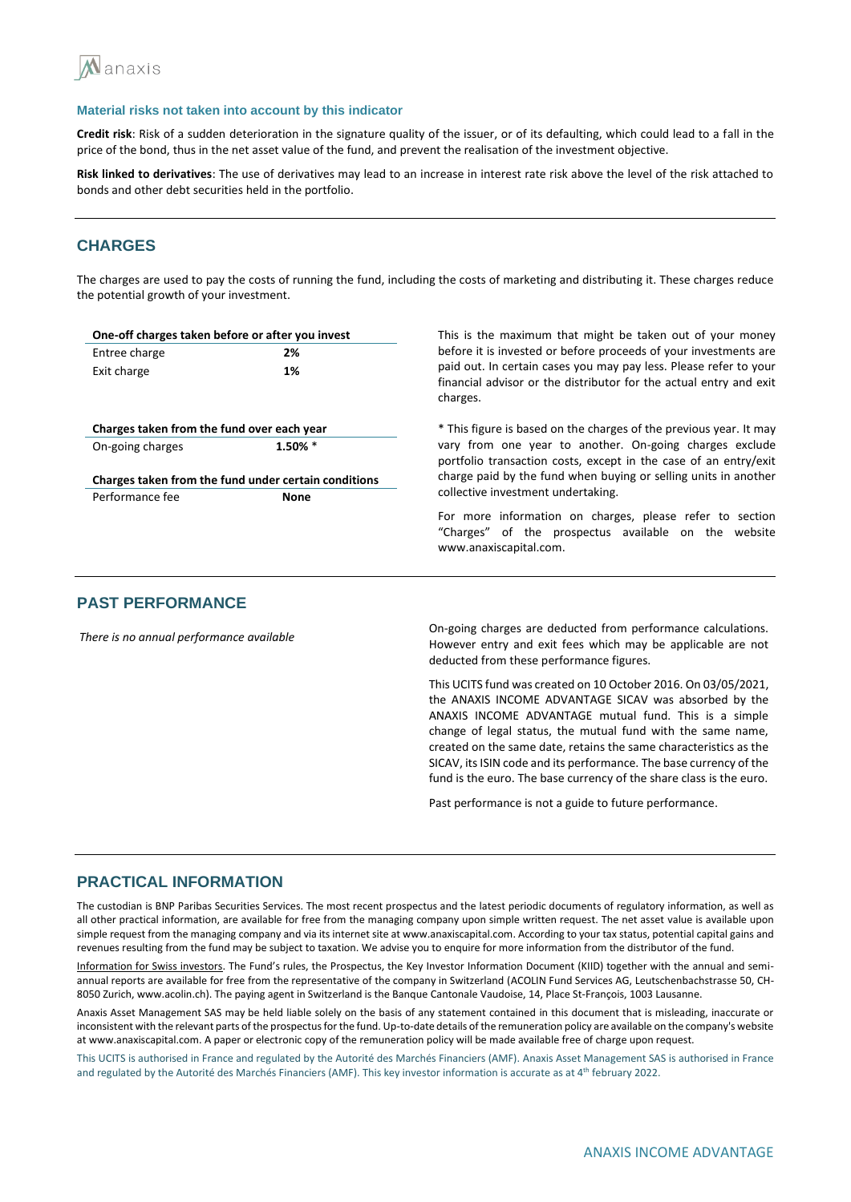

**Credit risk**: Risk of a sudden deterioration in the signature quality of the issuer, or of its defaulting, which could lead to a fall in the price of the bond, thus in the net asset value of the fund, and prevent the realisation of the investment objective.

**Risk linked to derivatives**: The use of derivatives may lead to an increase in interest rate risk above the level of the risk attached to bonds and other debt securities held in the portfolio.

## **CHARGES**

The charges are used to pay the costs of running the fund, including the costs of marketing and distributing it. These charges reduce the potential growth of your investment.

| One-off charges taken before or after you invest     |            | This is the maximum that might be taken out of your money                                                                                           |
|------------------------------------------------------|------------|-----------------------------------------------------------------------------------------------------------------------------------------------------|
| Entree charge                                        | 2%         | before it is invested or before proceeds of your investments are                                                                                    |
| Exit charge                                          | 1%         | paid out. In certain cases you may pay less. Please refer to your<br>financial advisor or the distributor for the actual entry and exit<br>charges. |
| Charges taken from the fund over each year           |            | * This figure is based on the charges of the previous year. It may                                                                                  |
| On-going charges                                     | $1.50\%$ * | vary from one year to another. On-going charges exclude<br>portfolio transaction costs, except in the case of an entry/exit                         |
| Charges taken from the fund under certain conditions |            | charge paid by the fund when buying or selling units in another<br>collective investment undertaking.                                               |
| Performance fee                                      | None       |                                                                                                                                                     |
|                                                      |            | For more information on charges, please refer to section<br>"Charges" of the prospectus available on the website<br>www.anaxiscapital.com.          |
|                                                      |            |                                                                                                                                                     |

## **PAST PERFORMANCE**

*There is no annual performance available* On-going charges are deducted from performance calculations. However entry and exit fees which may be applicable are not deducted from these performance figures.

> This UCITS fund was created on 10 October 2016. On 03/05/2021, the ANAXIS INCOME ADVANTAGE SICAV was absorbed by the ANAXIS INCOME ADVANTAGE mutual fund. This is a simple change of legal status, the mutual fund with the same name, created on the same date, retains the same characteristics as the SICAV, its ISIN code and its performance. The base currency of the fund is the euro. The base currency of the share class is the euro.

Past performance is not a guide to future performance.

### **PRACTICAL INFORMATION**

The custodian is BNP Paribas Securities Services. The most recent prospectus and the latest periodic documents of regulatory information, as well as all other practical information, are available for free from the managing company upon simple written request. The net asset value is available upon simple request from the managing company and via its internet site at www.anaxiscapital.com. According to your tax status, potential capital gains and revenues resulting from the fund may be subject to taxation. We advise you to enquire for more information from the distributor of the fund.

Information for Swiss investors. The Fund's rules, the Prospectus, the Key Investor Information Document (KIID) together with the annual and semiannual reports are available for free from the representative of the company in Switzerland (ACOLIN Fund Services AG, Leutschenbachstrasse 50, CH-8050 Zurich, www.acolin.ch). The paying agent in Switzerland is the Banque Cantonale Vaudoise, 14, Place St-François, 1003 Lausanne.

Anaxis Asset Management SAS may be held liable solely on the basis of any statement contained in this document that is misleading, inaccurate or inconsistent with the relevant parts of the prospectus for the fund. Up-to-date details of the remuneration policy are available on the company's website at www.anaxiscapital.com. A paper or electronic copy of the remuneration policy will be made available free of charge upon request.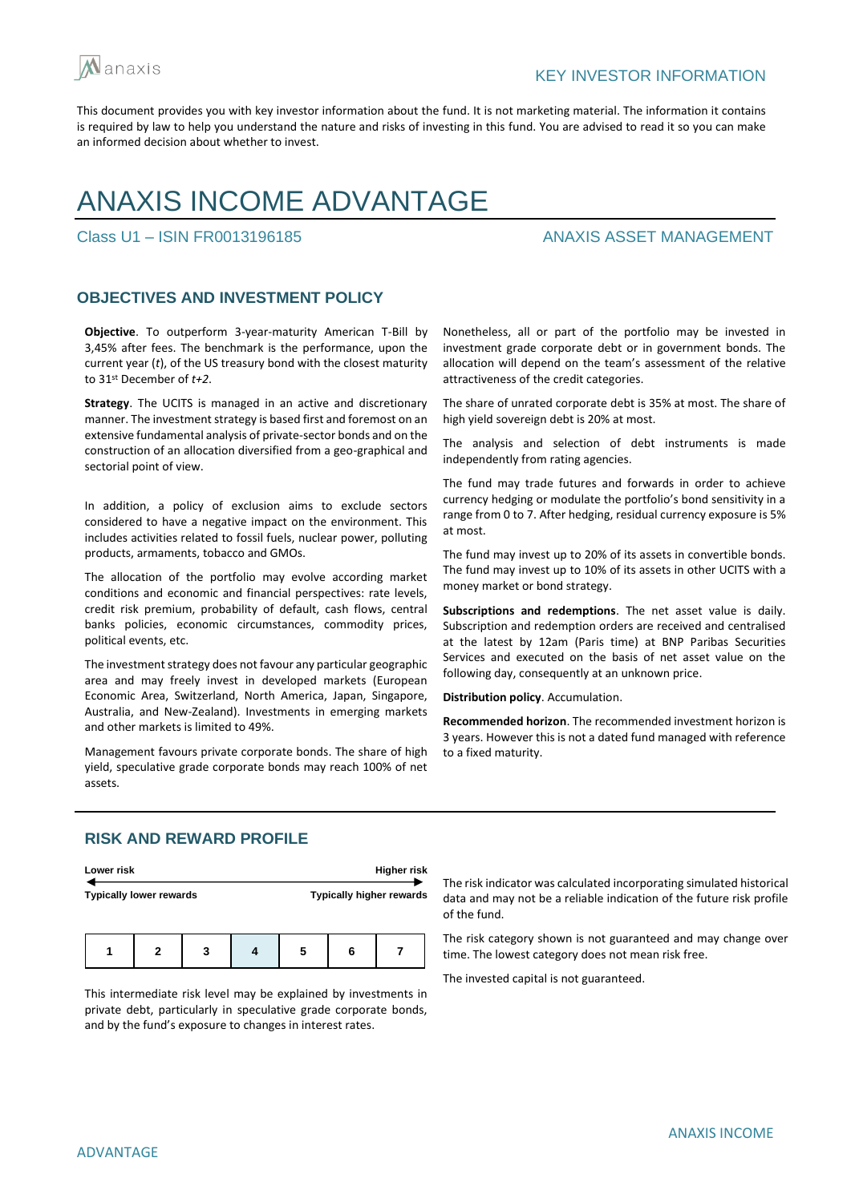

# ANAXIS INCOME ADVANTAGE

## Class U1 – ISIN FR0013196185 ANAXIS ASSET MANAGEMENT

## **OBJECTIVES AND INVESTMENT POLICY**

**Objective**. To outperform 3-year-maturity American T-Bill by 3,45% after fees. The benchmark is the performance, upon the current year (*t*), of the US treasury bond with the closest maturity to 31st December of *t+2*.

**Strategy**. The UCITS is managed in an active and discretionary manner. The investment strategy is based first and foremost on an extensive fundamental analysis of private-sector bonds and on the construction of an allocation diversified from a geo-graphical and sectorial point of view.

In addition, a policy of exclusion aims to exclude sectors considered to have a negative impact on the environment. This includes activities related to fossil fuels, nuclear power, polluting products, armaments, tobacco and GMOs.

The allocation of the portfolio may evolve according market conditions and economic and financial perspectives: rate levels, credit risk premium, probability of default, cash flows, central banks policies, economic circumstances, commodity prices, political events, etc.

The investment strategy does not favour any particular geographic area and may freely invest in developed markets (European Economic Area, Switzerland, North America, Japan, Singapore, Australia, and New-Zealand). Investments in emerging markets and other markets is limited to 49%.

Management favours private corporate bonds. The share of high yield, speculative grade corporate bonds may reach 100% of net assets.

Nonetheless, all or part of the portfolio may be invested in investment grade corporate debt or in government bonds. The allocation will depend on the team's assessment of the relative attractiveness of the credit categories.

The share of unrated corporate debt is 35% at most. The share of high yield sovereign debt is 20% at most.

The analysis and selection of debt instruments is made independently from rating agencies.

The fund may trade futures and forwards in order to achieve currency hedging or modulate the portfolio's bond sensitivity in a range from 0 to 7. After hedging, residual currency exposure is 5% at most.

The fund may invest up to 20% of its assets in convertible bonds. The fund may invest up to 10% of its assets in other UCITS with a money market or bond strategy.

**Subscriptions and redemptions**. The net asset value is daily. Subscription and redemption orders are received and centralised at the latest by 12am (Paris time) at BNP Paribas Securities Services and executed on the basis of net asset value on the following day, consequently at an unknown price.

**Distribution policy**. Accumulation.

**Recommended horizon**. The recommended investment horizon is 3 years. However this is not a dated fund managed with reference to a fixed maturity.

## **RISK AND REWARD PROFILE**

| Lower risk                     |  |   |  |                                 | <b>Higher risk</b> |  |
|--------------------------------|--|---|--|---------------------------------|--------------------|--|
| <b>Typically lower rewards</b> |  |   |  | <b>Typically higher rewards</b> |                    |  |
|                                |  |   |  |                                 |                    |  |
|                                |  | 2 |  |                                 |                    |  |

This intermediate risk level may be explained by investments in private debt, particularly in speculative grade corporate bonds, and by the fund's exposure to changes in interest rates.

The risk indicator was calculated incorporating simulated historical data and may not be a reliable indication of the future risk profile of the fund.

The risk category shown is not guaranteed and may change over time. The lowest category does not mean risk free.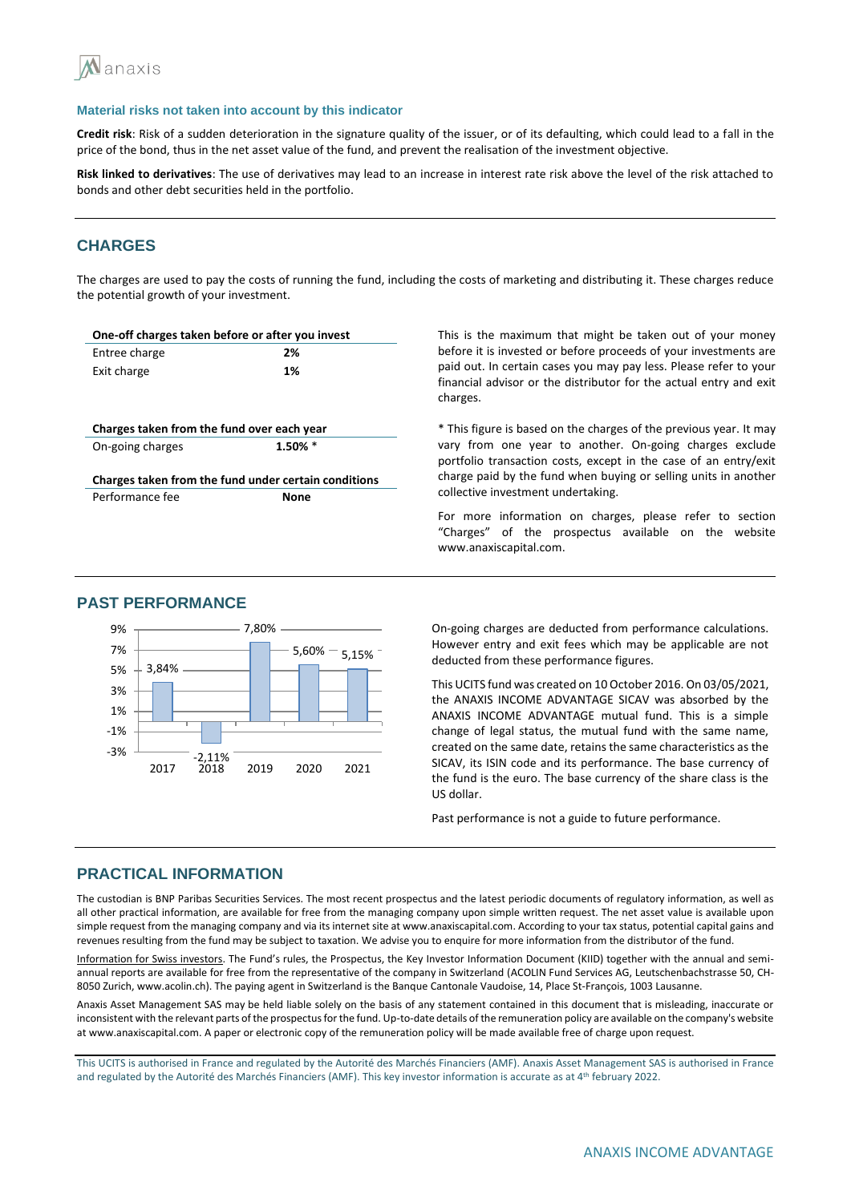

**Credit risk**: Risk of a sudden deterioration in the signature quality of the issuer, or of its defaulting, which could lead to a fall in the price of the bond, thus in the net asset value of the fund, and prevent the realisation of the investment objective.

**Risk linked to derivatives**: The use of derivatives may lead to an increase in interest rate risk above the level of the risk attached to bonds and other debt securities held in the portfolio.

## **CHARGES**

The charges are used to pay the costs of running the fund, including the costs of marketing and distributing it. These charges reduce the potential growth of your investment.

| One-off charges taken before or after you invest |                                                      |
|--------------------------------------------------|------------------------------------------------------|
| Entree charge                                    | 2%                                                   |
| Exit charge                                      | 1%                                                   |
|                                                  |                                                      |
|                                                  |                                                      |
| Charges taken from the fund over each year       |                                                      |
| On-going charges                                 | $1.50\%$ *                                           |
|                                                  |                                                      |
|                                                  | Charges taken from the fund under certain conditions |
| Performance fee                                  | <b>None</b>                                          |
|                                                  |                                                      |
|                                                  |                                                      |

This is the maximum that might be taken out of your money before it is invested or before proceeds of your investments are paid out. In certain cases you may pay less. Please refer to your financial advisor or the distributor for the actual entry and exit charges.

\* This figure is based on the charges of the previous year. It may vary from one year to another. On-going charges exclude portfolio transaction costs, except in the case of an entry/exit charge paid by the fund when buying or selling units in another collective investment undertaking.

For more information on charges, please refer to section "Charges" of the prospectus available on the website www.anaxiscapital.com.



## **PAST PERFORMANCE**

On-going charges are deducted from performance calculations. However entry and exit fees which may be applicable are not deducted from these performance figures.

This UCITS fund was created on 10 October 2016. On 03/05/2021, the ANAXIS INCOME ADVANTAGE SICAV was absorbed by the ANAXIS INCOME ADVANTAGE mutual fund. This is a simple change of legal status, the mutual fund with the same name, created on the same date, retains the same characteristics as the SICAV, its ISIN code and its performance. The base currency of the fund is the euro. The base currency of the share class is the US dollar.

Past performance is not a guide to future performance.

## **PRACTICAL INFORMATION**

The custodian is BNP Paribas Securities Services. The most recent prospectus and the latest periodic documents of regulatory information, as well as all other practical information, are available for free from the managing company upon simple written request. The net asset value is available upon simple request from the managing company and via its internet site at www.anaxiscapital.com. According to your tax status, potential capital gains and revenues resulting from the fund may be subject to taxation. We advise you to enquire for more information from the distributor of the fund.

Information for Swiss investors. The Fund's rules, the Prospectus, the Key Investor Information Document (KIID) together with the annual and semiannual reports are available for free from the representative of the company in Switzerland (ACOLIN Fund Services AG, Leutschenbachstrasse 50, CH-8050 Zurich, www.acolin.ch). The paying agent in Switzerland is the Banque Cantonale Vaudoise, 14, Place St-François, 1003 Lausanne.

Anaxis Asset Management SAS may be held liable solely on the basis of any statement contained in this document that is misleading, inaccurate or inconsistent with the relevant parts of the prospectus for the fund. Up-to-date details of the remuneration policy are available on the company's website at www.anaxiscapital.com. A paper or electronic copy of the remuneration policy will be made available free of charge upon request.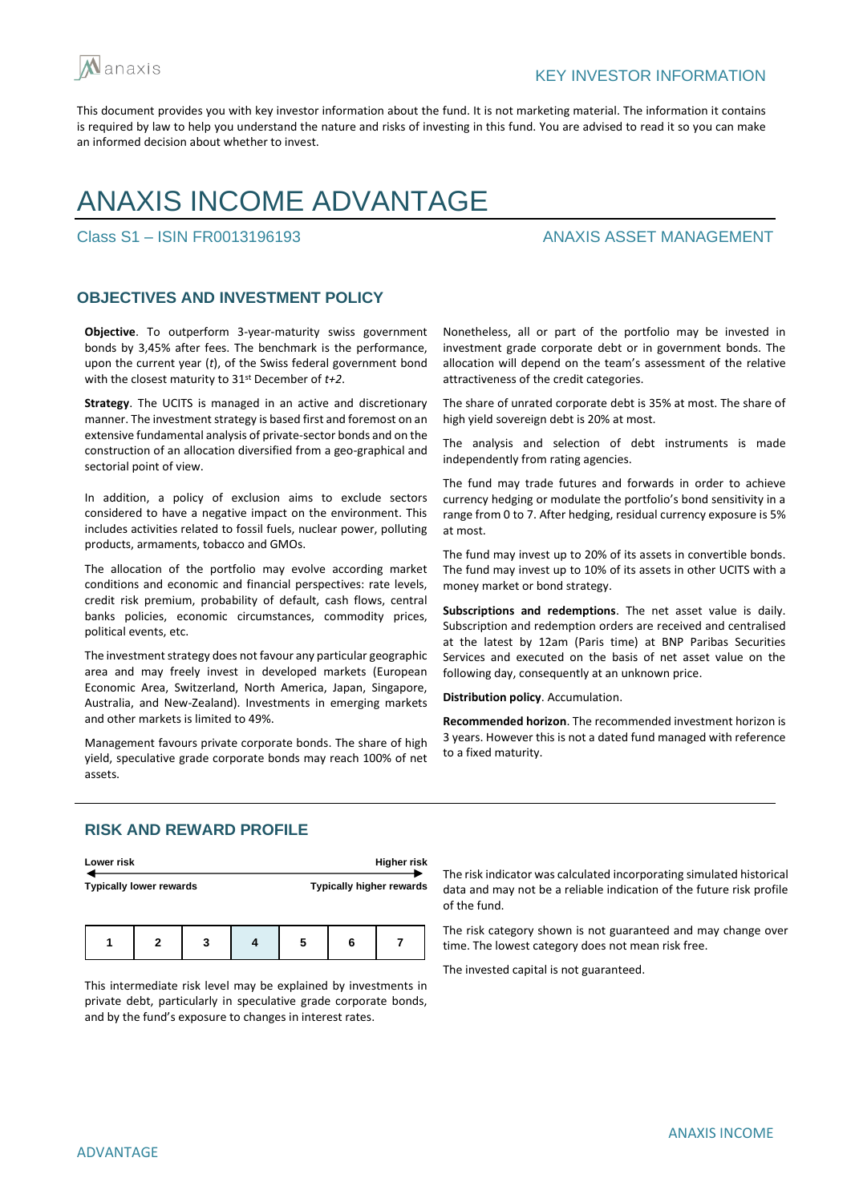

# ANAXIS INCOME ADVANTAGE

## Class S1 – ISIN FR0013196193 ANAXIS ASSET MANAGEMENT

## **OBJECTIVES AND INVESTMENT POLICY**

**Objective**. To outperform 3-year-maturity swiss government bonds by 3,45% after fees. The benchmark is the performance, upon the current year (*t*), of the Swiss federal government bond with the closest maturity to 31st December of *t+2*.

**Strategy**. The UCITS is managed in an active and discretionary manner. The investment strategy is based first and foremost on an extensive fundamental analysis of private-sector bonds and on the construction of an allocation diversified from a geo-graphical and sectorial point of view.

In addition, a policy of exclusion aims to exclude sectors considered to have a negative impact on the environment. This includes activities related to fossil fuels, nuclear power, polluting products, armaments, tobacco and GMOs.

The allocation of the portfolio may evolve according market conditions and economic and financial perspectives: rate levels, credit risk premium, probability of default, cash flows, central banks policies, economic circumstances, commodity prices, political events, etc.

The investment strategy does not favour any particular geographic area and may freely invest in developed markets (European Economic Area, Switzerland, North America, Japan, Singapore, Australia, and New-Zealand). Investments in emerging markets and other markets is limited to 49%.

Management favours private corporate bonds. The share of high yield, speculative grade corporate bonds may reach 100% of net assets.

Nonetheless, all or part of the portfolio may be invested in investment grade corporate debt or in government bonds. The allocation will depend on the team's assessment of the relative attractiveness of the credit categories.

The share of unrated corporate debt is 35% at most. The share of high yield sovereign debt is 20% at most.

The analysis and selection of debt instruments is made independently from rating agencies.

The fund may trade futures and forwards in order to achieve currency hedging or modulate the portfolio's bond sensitivity in a range from 0 to 7. After hedging, residual currency exposure is 5% at most.

The fund may invest up to 20% of its assets in convertible bonds. The fund may invest up to 10% of its assets in other UCITS with a money market or bond strategy.

**Subscriptions and redemptions**. The net asset value is daily. Subscription and redemption orders are received and centralised at the latest by 12am (Paris time) at BNP Paribas Securities Services and executed on the basis of net asset value on the following day, consequently at an unknown price.

**Distribution policy**. Accumulation.

**Recommended horizon**. The recommended investment horizon is 3 years. However this is not a dated fund managed with reference to a fixed maturity.

## **RISK AND REWARD PROFILE**

| Lower risk                     |  |   |  |   |   | <b>Higher risk</b>              |  |
|--------------------------------|--|---|--|---|---|---------------------------------|--|
| <b>Typically lower rewards</b> |  |   |  |   |   | <b>Typically higher rewards</b> |  |
|                                |  |   |  |   |   |                                 |  |
|                                |  | 3 |  | 5 | 6 |                                 |  |

This intermediate risk level may be explained by investments in private debt, particularly in speculative grade corporate bonds, and by the fund's exposure to changes in interest rates.

The risk indicator was calculated incorporating simulated historical data and may not be a reliable indication of the future risk profile of the fund.

The risk category shown is not guaranteed and may change over time. The lowest category does not mean risk free.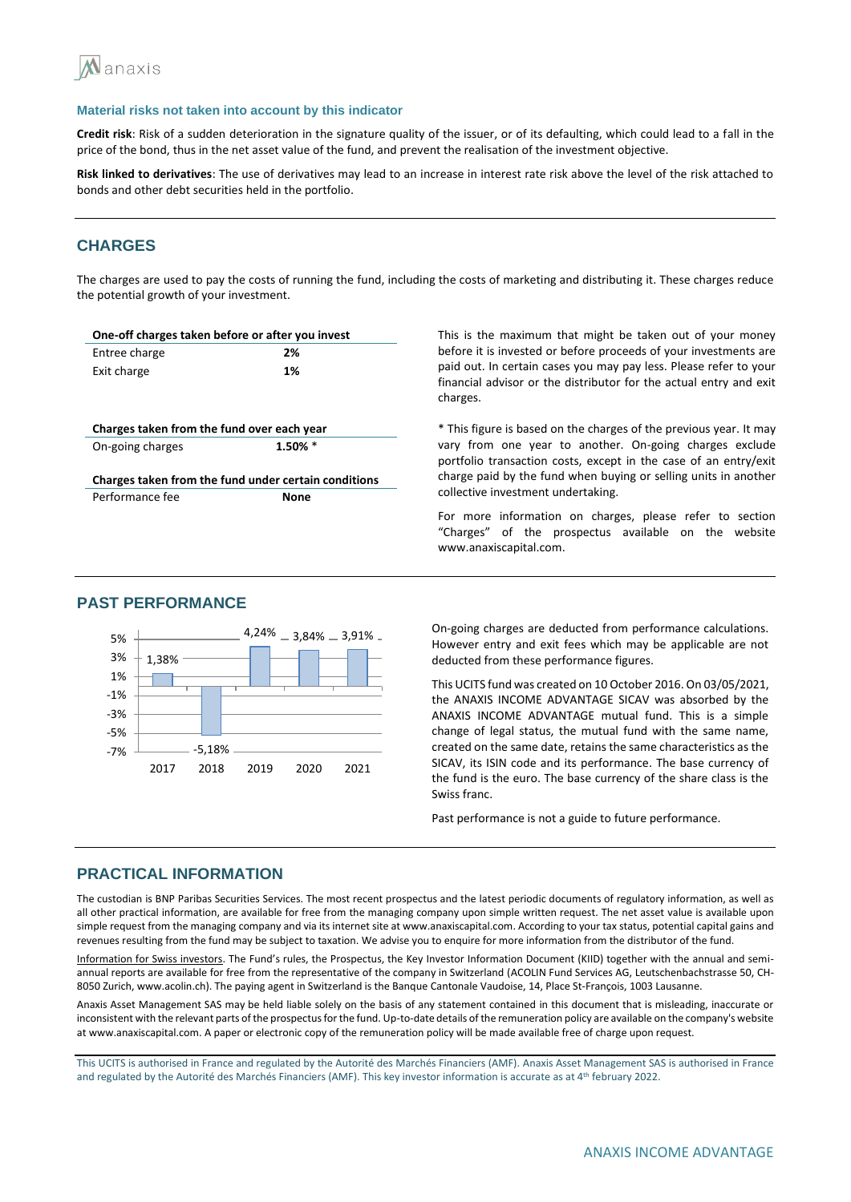

**Credit risk**: Risk of a sudden deterioration in the signature quality of the issuer, or of its defaulting, which could lead to a fall in the price of the bond, thus in the net asset value of the fund, and prevent the realisation of the investment objective.

**Risk linked to derivatives**: The use of derivatives may lead to an increase in interest rate risk above the level of the risk attached to bonds and other debt securities held in the portfolio.

## **CHARGES**

The charges are used to pay the costs of running the fund, including the costs of marketing and distributing it. These charges reduce the potential growth of your investment.

| One-off charges taken before or after you invest |                                                      |
|--------------------------------------------------|------------------------------------------------------|
| Entree charge                                    | 2%                                                   |
| Exit charge                                      | 1%                                                   |
|                                                  |                                                      |
|                                                  |                                                      |
| Charges taken from the fund over each year       |                                                      |
| On-going charges                                 | $1.50\%$ *                                           |
|                                                  |                                                      |
|                                                  |                                                      |
|                                                  | Charges taken from the fund under certain conditions |
| Performance fee                                  | <b>None</b>                                          |

This is the maximum that might be taken out of your money before it is invested or before proceeds of your investments are paid out. In certain cases you may pay less. Please refer to your financial advisor or the distributor for the actual entry and exit charges.

\* This figure is based on the charges of the previous year. It may vary from one year to another. On-going charges exclude portfolio transaction costs, except in the case of an entry/exit charge paid by the fund when buying or selling units in another collective investment undertaking.

For more information on charges, please refer to section "Charges" of the prospectus available on the website www.anaxiscapital.com.

### **PAST PERFORMANCE**



On-going charges are deducted from performance calculations. However entry and exit fees which may be applicable are not deducted from these performance figures.

This UCITS fund was created on 10 October 2016. On 03/05/2021, the ANAXIS INCOME ADVANTAGE SICAV was absorbed by the ANAXIS INCOME ADVANTAGE mutual fund. This is a simple change of legal status, the mutual fund with the same name, created on the same date, retains the same characteristics as the SICAV, its ISIN code and its performance. The base currency of the fund is the euro. The base currency of the share class is the Swiss franc.

Past performance is not a guide to future performance.

## **PRACTICAL INFORMATION**

The custodian is BNP Paribas Securities Services. The most recent prospectus and the latest periodic documents of regulatory information, as well as all other practical information, are available for free from the managing company upon simple written request. The net asset value is available upon simple request from the managing company and via its internet site at www.anaxiscapital.com. According to your tax status, potential capital gains and revenues resulting from the fund may be subject to taxation. We advise you to enquire for more information from the distributor of the fund.

Information for Swiss investors. The Fund's rules, the Prospectus, the Key Investor Information Document (KIID) together with the annual and semiannual reports are available for free from the representative of the company in Switzerland (ACOLIN Fund Services AG, Leutschenbachstrasse 50, CH-8050 Zurich, www.acolin.ch). The paying agent in Switzerland is the Banque Cantonale Vaudoise, 14, Place St-François, 1003 Lausanne.

Anaxis Asset Management SAS may be held liable solely on the basis of any statement contained in this document that is misleading, inaccurate or inconsistent with the relevant parts of the prospectus for the fund. Up-to-date details of the remuneration policy are available on the company's website at www.anaxiscapital.com. A paper or electronic copy of the remuneration policy will be made available free of charge upon request.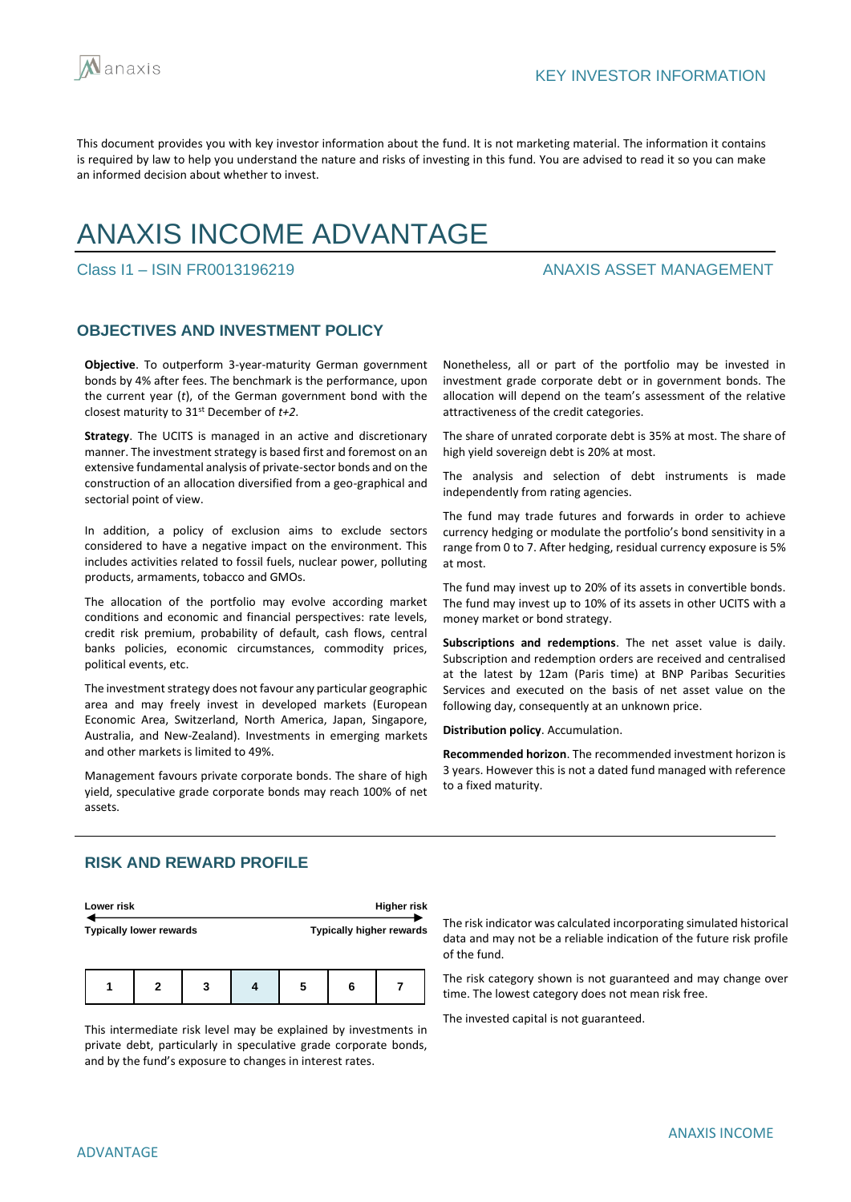

# ANAXIS INCOME ADVANTAGE

Class I1 – ISIN FR0013196219 ANAXIS ASSET MANAGEMENT

## **OBJECTIVES AND INVESTMENT POLICY**

**Objective**. To outperform 3-year-maturity German government bonds by 4% after fees. The benchmark is the performance, upon the current year (*t*), of the German government bond with the closest maturity to 31st December of *t+2*.

**Strategy**. The UCITS is managed in an active and discretionary manner. The investment strategy is based first and foremost on an extensive fundamental analysis of private-sector bonds and on the construction of an allocation diversified from a geo-graphical and sectorial point of view.

In addition, a policy of exclusion aims to exclude sectors considered to have a negative impact on the environment. This includes activities related to fossil fuels, nuclear power, polluting products, armaments, tobacco and GMOs.

The allocation of the portfolio may evolve according market conditions and economic and financial perspectives: rate levels, credit risk premium, probability of default, cash flows, central banks policies, economic circumstances, commodity prices, political events, etc.

The investment strategy does not favour any particular geographic area and may freely invest in developed markets (European Economic Area, Switzerland, North America, Japan, Singapore, Australia, and New-Zealand). Investments in emerging markets and other markets is limited to 49%.

Management favours private corporate bonds. The share of high yield, speculative grade corporate bonds may reach 100% of net assets.

Nonetheless, all or part of the portfolio may be invested in investment grade corporate debt or in government bonds. The allocation will depend on the team's assessment of the relative attractiveness of the credit categories.

The share of unrated corporate debt is 35% at most. The share of high yield sovereign debt is 20% at most.

The analysis and selection of debt instruments is made independently from rating agencies.

The fund may trade futures and forwards in order to achieve currency hedging or modulate the portfolio's bond sensitivity in a range from 0 to 7. After hedging, residual currency exposure is 5% at most.

The fund may invest up to 20% of its assets in convertible bonds. The fund may invest up to 10% of its assets in other UCITS with a money market or bond strategy.

**Subscriptions and redemptions**. The net asset value is daily. Subscription and redemption orders are received and centralised at the latest by 12am (Paris time) at BNP Paribas Securities Services and executed on the basis of net asset value on the following day, consequently at an unknown price.

**Distribution policy**. Accumulation.

**Recommended horizon**. The recommended investment horizon is 3 years. However this is not a dated fund managed with reference to a fixed maturity.

## **RISK AND REWARD PROFILE**

| Lower risk                     |   |   |  |   |                                 | <b>Higher risk</b> |  |
|--------------------------------|---|---|--|---|---------------------------------|--------------------|--|
| <b>Typically lower rewards</b> |   |   |  |   | <b>Typically higher rewards</b> |                    |  |
|                                |   |   |  |   |                                 |                    |  |
|                                | 2 | 3 |  | 5 | 6                               |                    |  |

This intermediate risk level may be explained by investments in private debt, particularly in speculative grade corporate bonds, and by the fund's exposure to changes in interest rates.

The risk indicator was calculated incorporating simulated historical data and may not be a reliable indication of the future risk profile of the fund.

The risk category shown is not guaranteed and may change over time. The lowest category does not mean risk free.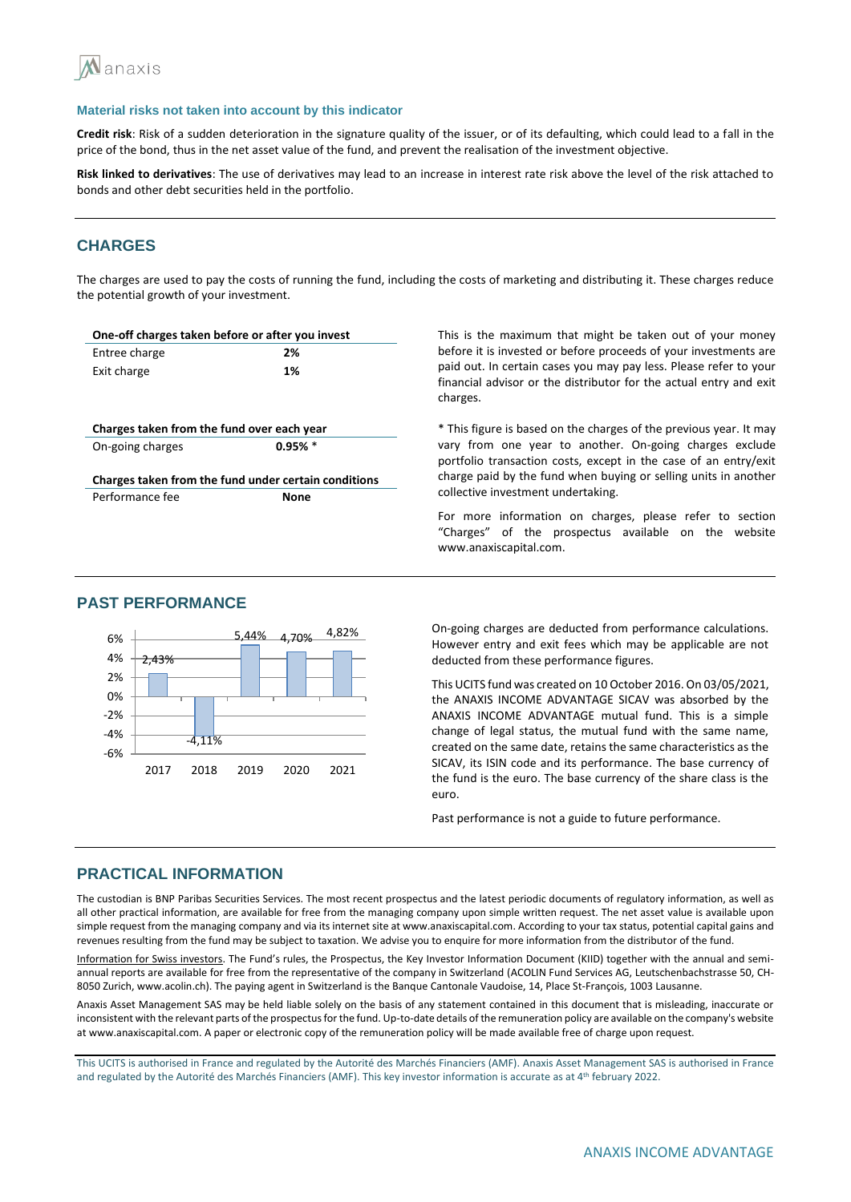

**Credit risk**: Risk of a sudden deterioration in the signature quality of the issuer, or of its defaulting, which could lead to a fall in the price of the bond, thus in the net asset value of the fund, and prevent the realisation of the investment objective.

**Risk linked to derivatives**: The use of derivatives may lead to an increase in interest rate risk above the level of the risk attached to bonds and other debt securities held in the portfolio.

## **CHARGES**

The charges are used to pay the costs of running the fund, including the costs of marketing and distributing it. These charges reduce the potential growth of your investment.

| One-off charges taken before or after you invest |                                                      |
|--------------------------------------------------|------------------------------------------------------|
| Entree charge                                    | 2%                                                   |
| Exit charge                                      | 1%                                                   |
|                                                  |                                                      |
|                                                  |                                                      |
|                                                  |                                                      |
| Charges taken from the fund over each year       |                                                      |
| On-going charges                                 | $0.95%$ *                                            |
|                                                  |                                                      |
|                                                  | Charges taken from the fund under certain conditions |
| Performance fee                                  | <b>None</b>                                          |

This is the maximum that might be taken out of your money before it is invested or before proceeds of your investments are paid out. In certain cases you may pay less. Please refer to your financial advisor or the distributor for the actual entry and exit charges.

\* This figure is based on the charges of the previous year. It may vary from one year to another. On-going charges exclude portfolio transaction costs, except in the case of an entry/exit charge paid by the fund when buying or selling units in another collective investment undertaking.

For more information on charges, please refer to section "Charges" of the prospectus available on the website www.anaxiscapital.com.

## **PAST PERFORMANCE**



On-going charges are deducted from performance calculations. However entry and exit fees which may be applicable are not deducted from these performance figures.

This UCITS fund was created on 10 October 2016. On 03/05/2021, the ANAXIS INCOME ADVANTAGE SICAV was absorbed by the ANAXIS INCOME ADVANTAGE mutual fund. This is a simple change of legal status, the mutual fund with the same name, created on the same date, retains the same characteristics as the SICAV, its ISIN code and its performance. The base currency of the fund is the euro. The base currency of the share class is the euro.

Past performance is not a guide to future performance.

## **PRACTICAL INFORMATION**

The custodian is BNP Paribas Securities Services. The most recent prospectus and the latest periodic documents of regulatory information, as well as all other practical information, are available for free from the managing company upon simple written request. The net asset value is available upon simple request from the managing company and via its internet site at www.anaxiscapital.com. According to your tax status, potential capital gains and revenues resulting from the fund may be subject to taxation. We advise you to enquire for more information from the distributor of the fund.

Information for Swiss investors. The Fund's rules, the Prospectus, the Key Investor Information Document (KIID) together with the annual and semiannual reports are available for free from the representative of the company in Switzerland (ACOLIN Fund Services AG, Leutschenbachstrasse 50, CH-8050 Zurich, www.acolin.ch). The paying agent in Switzerland is the Banque Cantonale Vaudoise, 14, Place St-François, 1003 Lausanne.

Anaxis Asset Management SAS may be held liable solely on the basis of any statement contained in this document that is misleading, inaccurate or inconsistent with the relevant parts of the prospectus for the fund. Up-to-date details of the remuneration policy are available on the company's website at www.anaxiscapital.com. A paper or electronic copy of the remuneration policy will be made available free of charge upon request.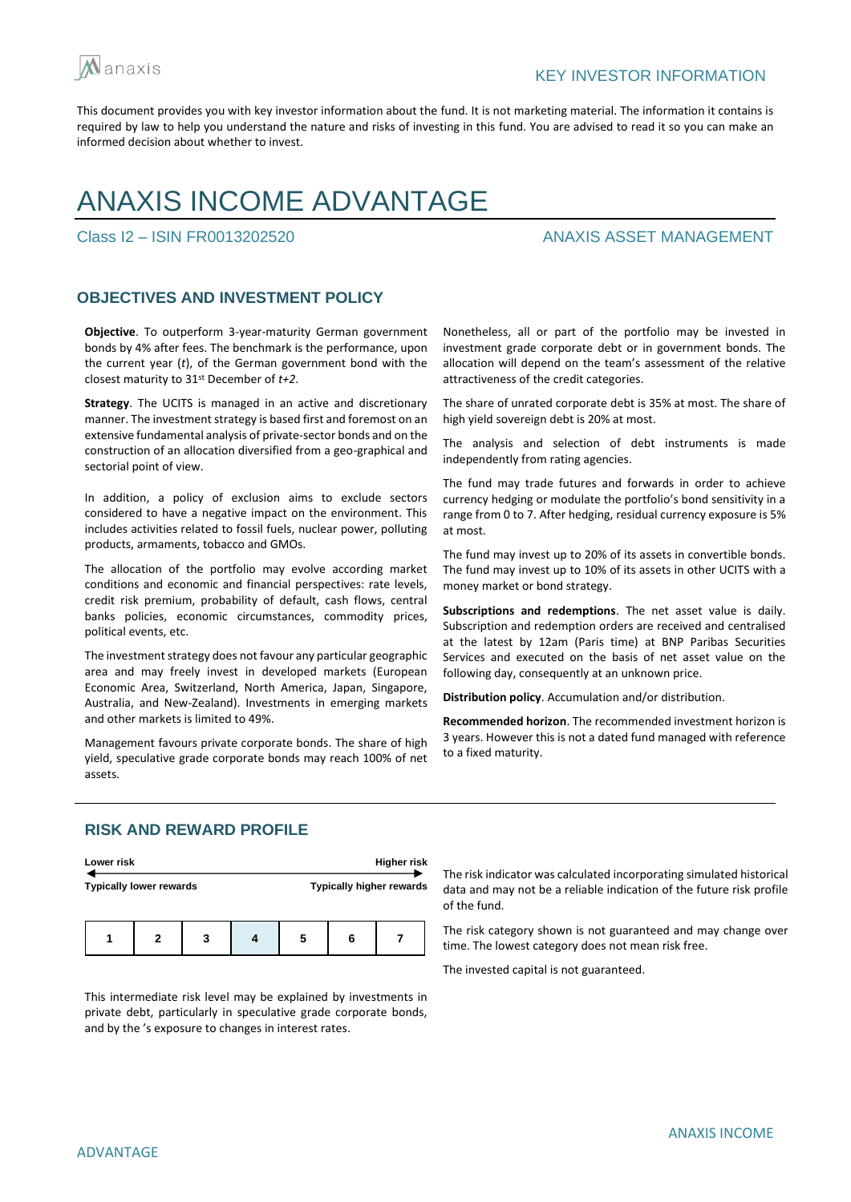

# ANAXIS INCOME ADVANTAGE

## Class I2 – ISIN FR0013202520 ANAXIS ASSET MANAGEMENT

## **OBJECTIVES AND INVESTMENT POLICY**

**Objective**. To outperform 3-year-maturity German government bonds by 4% after fees. The benchmark is the performance, upon the current year (*t*), of the German government bond with the closest maturity to 31st December of *t+2*.

**Strategy**. The UCITS is managed in an active and discretionary manner. The investment strategy is based first and foremost on an extensive fundamental analysis of private-sector bonds and on the construction of an allocation diversified from a geo-graphical and sectorial point of view.

In addition, a policy of exclusion aims to exclude sectors considered to have a negative impact on the environment. This includes activities related to fossil fuels, nuclear power, polluting products, armaments, tobacco and GMOs.

The allocation of the portfolio may evolve according market conditions and economic and financial perspectives: rate levels, credit risk premium, probability of default, cash flows, central banks policies, economic circumstances, commodity prices, political events, etc.

The investment strategy does not favour any particular geographic area and may freely invest in developed markets (European Economic Area, Switzerland, North America, Japan, Singapore, Australia, and New-Zealand). Investments in emerging markets and other markets is limited to 49%.

Management favours private corporate bonds. The share of high yield, speculative grade corporate bonds may reach 100% of net assets.

Nonetheless, all or part of the portfolio may be invested in investment grade corporate debt or in government bonds. The allocation will depend on the team's assessment of the relative attractiveness of the credit categories.

The share of unrated corporate debt is 35% at most. The share of high yield sovereign debt is 20% at most.

The analysis and selection of debt instruments is made independently from rating agencies.

The fund may trade futures and forwards in order to achieve currency hedging or modulate the portfolio's bond sensitivity in a range from 0 to 7. After hedging, residual currency exposure is 5% at most.

The fund may invest up to 20% of its assets in convertible bonds. The fund may invest up to 10% of its assets in other UCITS with a money market or bond strategy.

**Subscriptions and redemptions**. The net asset value is daily. Subscription and redemption orders are received and centralised at the latest by 12am (Paris time) at BNP Paribas Securities Services and executed on the basis of net asset value on the following day, consequently at an unknown price.

**Distribution policy**. Accumulation and/or distribution.

**Recommended horizon**. The recommended investment horizon is 3 years. However this is not a dated fund managed with reference to a fixed maturity.

## **RISK AND REWARD PROFILE**

| Lower risk                     |   |   |   |                                 | <b>Higher risk</b> |  |
|--------------------------------|---|---|---|---------------------------------|--------------------|--|
| <b>Typically lower rewards</b> |   |   |   | <b>Typically higher rewards</b> |                    |  |
|                                | 2 | 3 | 5 | 6                               |                    |  |

This intermediate risk level may be explained by investments in private debt, particularly in speculative grade corporate bonds, and by the 's exposure to changes in interest rates.

The risk indicator was calculated incorporating simulated historical data and may not be a reliable indication of the future risk profile of the fund.

The risk category shown is not guaranteed and may change over time. The lowest category does not mean risk free.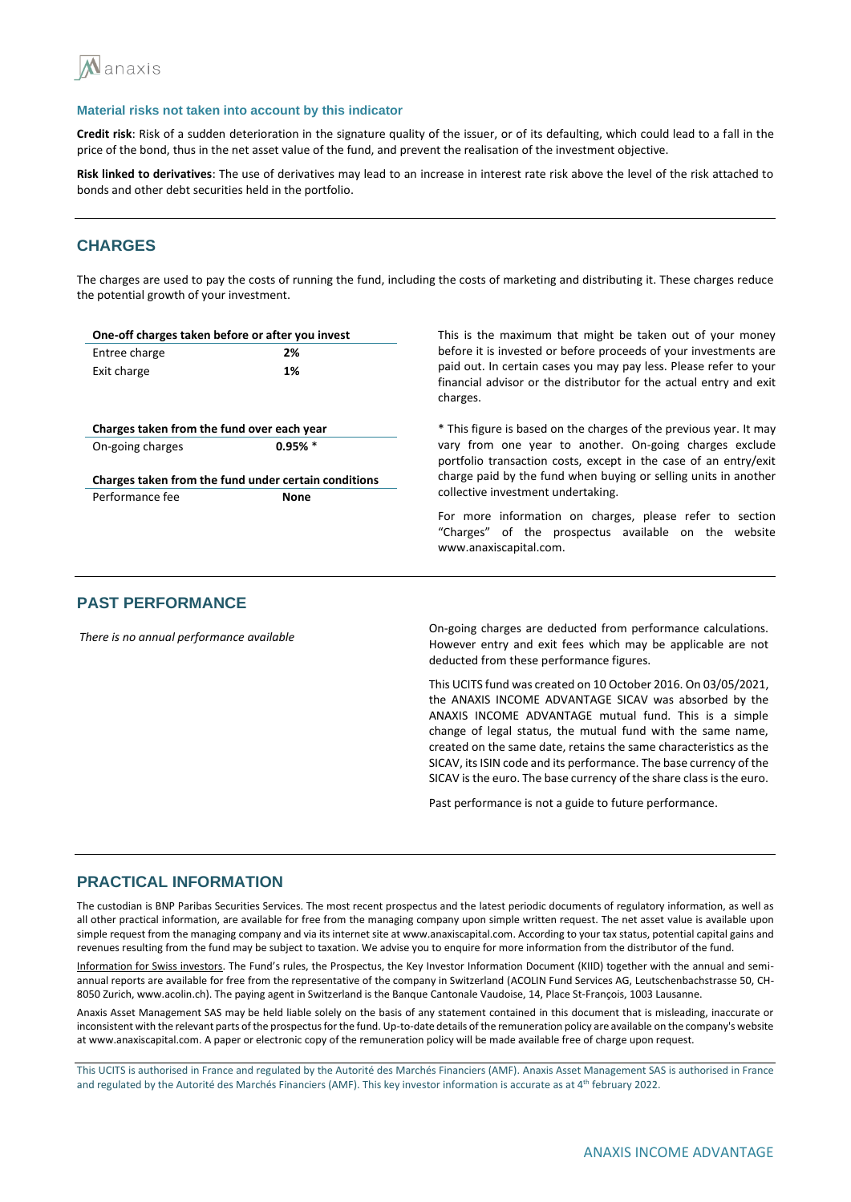

**Credit risk**: Risk of a sudden deterioration in the signature quality of the issuer, or of its defaulting, which could lead to a fall in the price of the bond, thus in the net asset value of the fund, and prevent the realisation of the investment objective.

**Risk linked to derivatives**: The use of derivatives may lead to an increase in interest rate risk above the level of the risk attached to bonds and other debt securities held in the portfolio.

## **CHARGES**

The charges are used to pay the costs of running the fund, including the costs of marketing and distributing it. These charges reduce the potential growth of your investment.

| One-off charges taken before or after you invest |                                                      | This is the maximum that might be taken out of your money                                                                                           |  |  |  |  |
|--------------------------------------------------|------------------------------------------------------|-----------------------------------------------------------------------------------------------------------------------------------------------------|--|--|--|--|
| Entree charge                                    | 2%                                                   | before it is invested or before proceeds of your investments are                                                                                    |  |  |  |  |
| Exit charge                                      | 1%                                                   | paid out. In certain cases you may pay less. Please refer to your<br>financial advisor or the distributor for the actual entry and exit<br>charges. |  |  |  |  |
| Charges taken from the fund over each year       |                                                      | * This figure is based on the charges of the previous year. It may                                                                                  |  |  |  |  |
| On-going charges                                 | $0.95\%$ *                                           | vary from one year to another. On-going charges exclude<br>portfolio transaction costs, except in the case of an entry/exit                         |  |  |  |  |
|                                                  | Charges taken from the fund under certain conditions | charge paid by the fund when buying or selling units in another<br>collective investment undertaking.                                               |  |  |  |  |
| Performance fee                                  | <b>None</b>                                          |                                                                                                                                                     |  |  |  |  |
|                                                  |                                                      | For more information on charges, please refer to section<br>"Charges" of the prospectus available on the website<br>www.anaxiscapital.com.          |  |  |  |  |
|                                                  |                                                      |                                                                                                                                                     |  |  |  |  |

### **PAST PERFORMANCE**

*There is no annual performance available* On-going charges are deducted from performance calculations. However entry and exit fees which may be applicable are not deducted from these performance figures.

> This UCITS fund was created on 10 October 2016. On 03/05/2021, the ANAXIS INCOME ADVANTAGE SICAV was absorbed by the ANAXIS INCOME ADVANTAGE mutual fund. This is a simple change of legal status, the mutual fund with the same name, created on the same date, retains the same characteristics as the SICAV, its ISIN code and its performance. The base currency of the SICAV is the euro. The base currency of the share class is the euro.

Past performance is not a guide to future performance.

### **PRACTICAL INFORMATION**

The custodian is BNP Paribas Securities Services. The most recent prospectus and the latest periodic documents of regulatory information, as well as all other practical information, are available for free from the managing company upon simple written request. The net asset value is available upon simple request from the managing company and via its internet site at www.anaxiscapital.com. According to your tax status, potential capital gains and revenues resulting from the fund may be subject to taxation. We advise you to enquire for more information from the distributor of the fund.

Information for Swiss investors. The Fund's rules, the Prospectus, the Key Investor Information Document (KIID) together with the annual and semiannual reports are available for free from the representative of the company in Switzerland (ACOLIN Fund Services AG, Leutschenbachstrasse 50, CH-8050 Zurich, www.acolin.ch). The paying agent in Switzerland is the Banque Cantonale Vaudoise, 14, Place St-François, 1003 Lausanne.

Anaxis Asset Management SAS may be held liable solely on the basis of any statement contained in this document that is misleading, inaccurate or inconsistent with the relevant parts of the prospectus for the fund. Up-to-date details of the remuneration policy are available on the company's website at www.anaxiscapital.com. A paper or electronic copy of the remuneration policy will be made available free of charge upon request.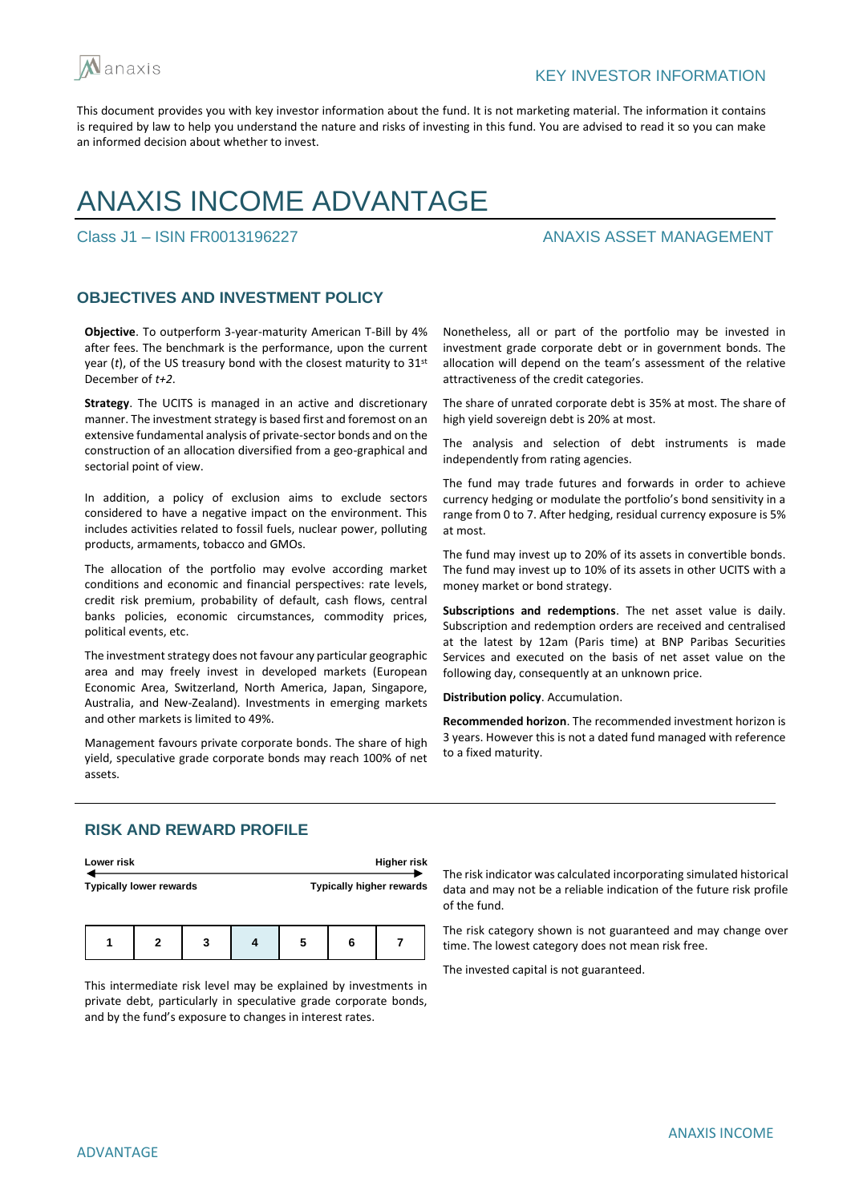

# ANAXIS INCOME ADVANTAGE

## Class J1 – ISIN FR0013196227 ANAXIS ASSET MANAGEMENT

## **OBJECTIVES AND INVESTMENT POLICY**

**Objective**. To outperform 3-year-maturity American T-Bill by 4% after fees. The benchmark is the performance, upon the current year (*t*), of the US treasury bond with the closest maturity to 31st December of *t+2*.

**Strategy**. The UCITS is managed in an active and discretionary manner. The investment strategy is based first and foremost on an extensive fundamental analysis of private-sector bonds and on the construction of an allocation diversified from a geo-graphical and sectorial point of view.

In addition, a policy of exclusion aims to exclude sectors considered to have a negative impact on the environment. This includes activities related to fossil fuels, nuclear power, polluting products, armaments, tobacco and GMOs.

The allocation of the portfolio may evolve according market conditions and economic and financial perspectives: rate levels, credit risk premium, probability of default, cash flows, central banks policies, economic circumstances, commodity prices, political events, etc.

The investment strategy does not favour any particular geographic area and may freely invest in developed markets (European Economic Area, Switzerland, North America, Japan, Singapore, Australia, and New-Zealand). Investments in emerging markets and other markets is limited to 49%.

Management favours private corporate bonds. The share of high yield, speculative grade corporate bonds may reach 100% of net assets.

Nonetheless, all or part of the portfolio may be invested in investment grade corporate debt or in government bonds. The allocation will depend on the team's assessment of the relative attractiveness of the credit categories.

The share of unrated corporate debt is 35% at most. The share of high yield sovereign debt is 20% at most.

The analysis and selection of debt instruments is made independently from rating agencies.

The fund may trade futures and forwards in order to achieve currency hedging or modulate the portfolio's bond sensitivity in a range from 0 to 7. After hedging, residual currency exposure is 5% at most.

The fund may invest up to 20% of its assets in convertible bonds. The fund may invest up to 10% of its assets in other UCITS with a money market or bond strategy.

**Subscriptions and redemptions**. The net asset value is daily. Subscription and redemption orders are received and centralised at the latest by 12am (Paris time) at BNP Paribas Securities Services and executed on the basis of net asset value on the following day, consequently at an unknown price.

**Distribution policy**. Accumulation.

**Recommended horizon**. The recommended investment horizon is 3 years. However this is not a dated fund managed with reference to a fixed maturity.

## **RISK AND REWARD PROFILE**

| Lower risk |                                |   |  |                                 | <b>Higher risk</b> |  |
|------------|--------------------------------|---|--|---------------------------------|--------------------|--|
|            | <b>Typically lower rewards</b> |   |  | <b>Typically higher rewards</b> |                    |  |
|            |                                |   |  |                                 |                    |  |
|            |                                | 3 |  | 6                               |                    |  |

This intermediate risk level may be explained by investments in private debt, particularly in speculative grade corporate bonds, and by the fund's exposure to changes in interest rates.

The risk indicator was calculated incorporating simulated historical data and may not be a reliable indication of the future risk profile of the fund.

The risk category shown is not guaranteed and may change over time. The lowest category does not mean risk free.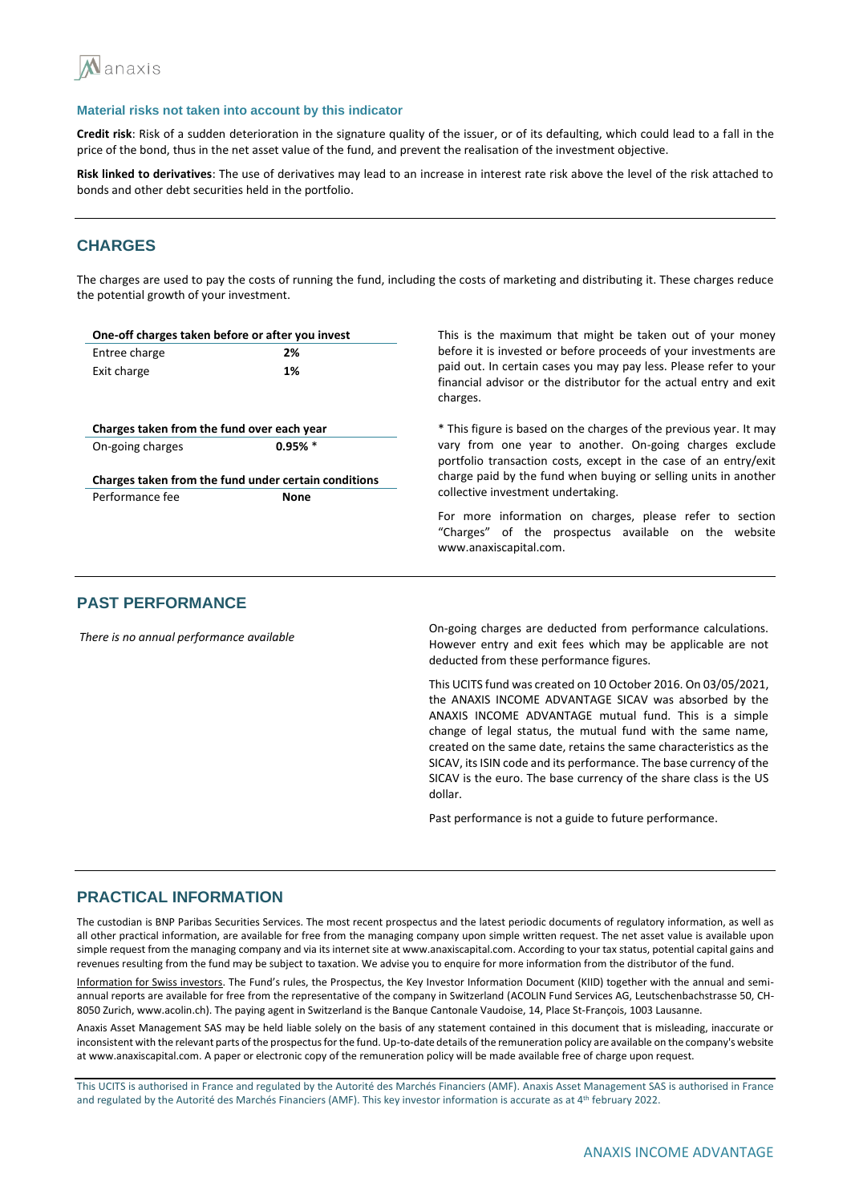

**Credit risk**: Risk of a sudden deterioration in the signature quality of the issuer, or of its defaulting, which could lead to a fall in the price of the bond, thus in the net asset value of the fund, and prevent the realisation of the investment objective.

**Risk linked to derivatives**: The use of derivatives may lead to an increase in interest rate risk above the level of the risk attached to bonds and other debt securities held in the portfolio.

## **CHARGES**

The charges are used to pay the costs of running the fund, including the costs of marketing and distributing it. These charges reduce the potential growth of your investment.

| One-off charges taken before or after you invest     |             | This is the maximum that might be taken out of your money                                                                                           |
|------------------------------------------------------|-------------|-----------------------------------------------------------------------------------------------------------------------------------------------------|
| Entree charge                                        | 2%          | before it is invested or before proceeds of your investments are                                                                                    |
| Exit charge                                          | 1%          | paid out. In certain cases you may pay less. Please refer to your<br>financial advisor or the distributor for the actual entry and exit<br>charges. |
| Charges taken from the fund over each year           |             | * This figure is based on the charges of the previous year. It may                                                                                  |
| On-going charges                                     | $0.95\%$ *  | vary from one year to another. On-going charges exclude<br>portfolio transaction costs, except in the case of an entry/exit                         |
| Charges taken from the fund under certain conditions |             | charge paid by the fund when buying or selling units in another                                                                                     |
| Performance fee                                      | <b>None</b> | collective investment undertaking.                                                                                                                  |
|                                                      |             | For more information on charges, please refer to section<br>"Charges" of the prospectus available on the website<br>www.anaxiscapital.com.          |
|                                                      |             |                                                                                                                                                     |

## **PAST PERFORMANCE**

*There is no annual performance available* On-going charges are deducted from performance calculations. However entry and exit fees which may be applicable are not deducted from these performance figures.

> This UCITS fund was created on 10 October 2016. On 03/05/2021, the ANAXIS INCOME ADVANTAGE SICAV was absorbed by the ANAXIS INCOME ADVANTAGE mutual fund. This is a simple change of legal status, the mutual fund with the same name, created on the same date, retains the same characteristics as the SICAV, its ISIN code and its performance. The base currency of the SICAV is the euro. The base currency of the share class is the US dollar.

Past performance is not a guide to future performance.

### **PRACTICAL INFORMATION**

The custodian is BNP Paribas Securities Services. The most recent prospectus and the latest periodic documents of regulatory information, as well as all other practical information, are available for free from the managing company upon simple written request. The net asset value is available upon simple request from the managing company and via its internet site at www.anaxiscapital.com. According to your tax status, potential capital gains and revenues resulting from the fund may be subject to taxation. We advise you to enquire for more information from the distributor of the fund.

Information for Swiss investors. The Fund's rules, the Prospectus, the Key Investor Information Document (KIID) together with the annual and semiannual reports are available for free from the representative of the company in Switzerland (ACOLIN Fund Services AG, Leutschenbachstrasse 50, CH-8050 Zurich, www.acolin.ch). The paying agent in Switzerland is the Banque Cantonale Vaudoise, 14, Place St-François, 1003 Lausanne.

Anaxis Asset Management SAS may be held liable solely on the basis of any statement contained in this document that is misleading, inaccurate or inconsistent with the relevant parts of the prospectus for the fund. Up-to-date details of the remuneration policy are available on the company's website at www.anaxiscapital.com. A paper or electronic copy of the remuneration policy will be made available free of charge upon request.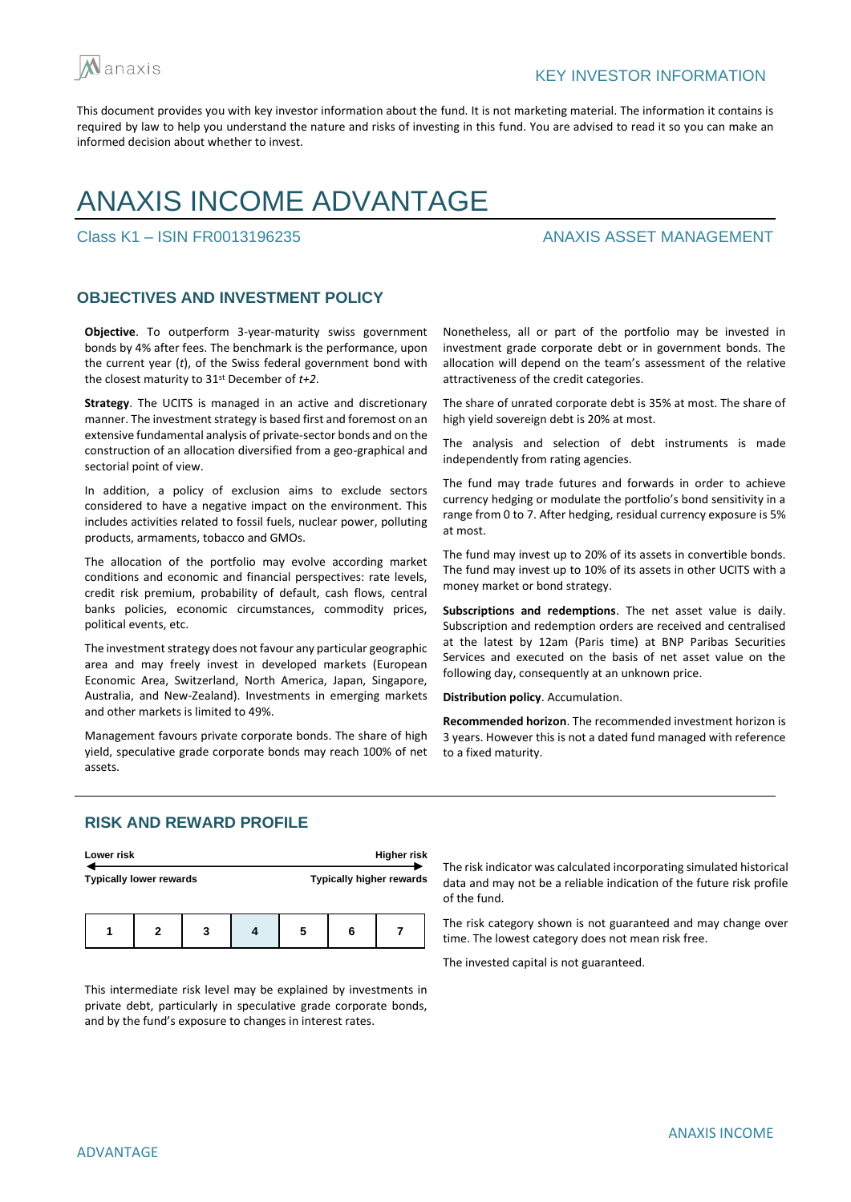

# ANAXIS INCOME ADVANTAGE

## Class K1 – ISIN FR0013196235 ANAXIS ASSET MANAGEMENT

## **OBJECTIVES AND INVESTMENT POLICY**

**Objective**. To outperform 3-year-maturity swiss government bonds by 4% after fees. The benchmark is the performance, upon the current year (*t*), of the Swiss federal government bond with the closest maturity to 31st December of *t+2*.

**Strategy**. The UCITS is managed in an active and discretionary manner. The investment strategy is based first and foremost on an extensive fundamental analysis of private-sector bonds and on the construction of an allocation diversified from a geo-graphical and sectorial point of view.

In addition, a policy of exclusion aims to exclude sectors considered to have a negative impact on the environment. This includes activities related to fossil fuels, nuclear power, polluting products, armaments, tobacco and GMOs.

The allocation of the portfolio may evolve according market conditions and economic and financial perspectives: rate levels, credit risk premium, probability of default, cash flows, central banks policies, economic circumstances, commodity prices, political events, etc.

The investment strategy does not favour any particular geographic area and may freely invest in developed markets (European Economic Area, Switzerland, North America, Japan, Singapore, Australia, and New-Zealand). Investments in emerging markets and other markets is limited to 49%.

Management favours private corporate bonds. The share of high yield, speculative grade corporate bonds may reach 100% of net assets.

Nonetheless, all or part of the portfolio may be invested in investment grade corporate debt or in government bonds. The allocation will depend on the team's assessment of the relative attractiveness of the credit categories.

The share of unrated corporate debt is 35% at most. The share of high yield sovereign debt is 20% at most.

The analysis and selection of debt instruments is made independently from rating agencies.

The fund may trade futures and forwards in order to achieve currency hedging or modulate the portfolio's bond sensitivity in a range from 0 to 7. After hedging, residual currency exposure is 5% at most.

The fund may invest up to 20% of its assets in convertible bonds. The fund may invest up to 10% of its assets in other UCITS with a money market or bond strategy.

**Subscriptions and redemptions**. The net asset value is daily. Subscription and redemption orders are received and centralised at the latest by 12am (Paris time) at BNP Paribas Securities Services and executed on the basis of net asset value on the following day, consequently at an unknown price.

**Distribution policy**. Accumulation.

**Recommended horizon**. The recommended investment horizon is 3 years. However this is not a dated fund managed with reference to a fixed maturity.

## **RISK AND REWARD PROFILE**

| Lower risk |                                |   |   |                                 | <b>Higher risk</b> |  |
|------------|--------------------------------|---|---|---------------------------------|--------------------|--|
|            | <b>Typically lower rewards</b> |   |   | <b>Typically higher rewards</b> |                    |  |
|            | 2                              | 3 | 5 | 6                               |                    |  |

This intermediate risk level may be explained by investments in private debt, particularly in speculative grade corporate bonds, and by the fund's exposure to changes in interest rates.

The risk indicator was calculated incorporating simulated historical data and may not be a reliable indication of the future risk profile of the fund.

The risk category shown is not guaranteed and may change over time. The lowest category does not mean risk free.